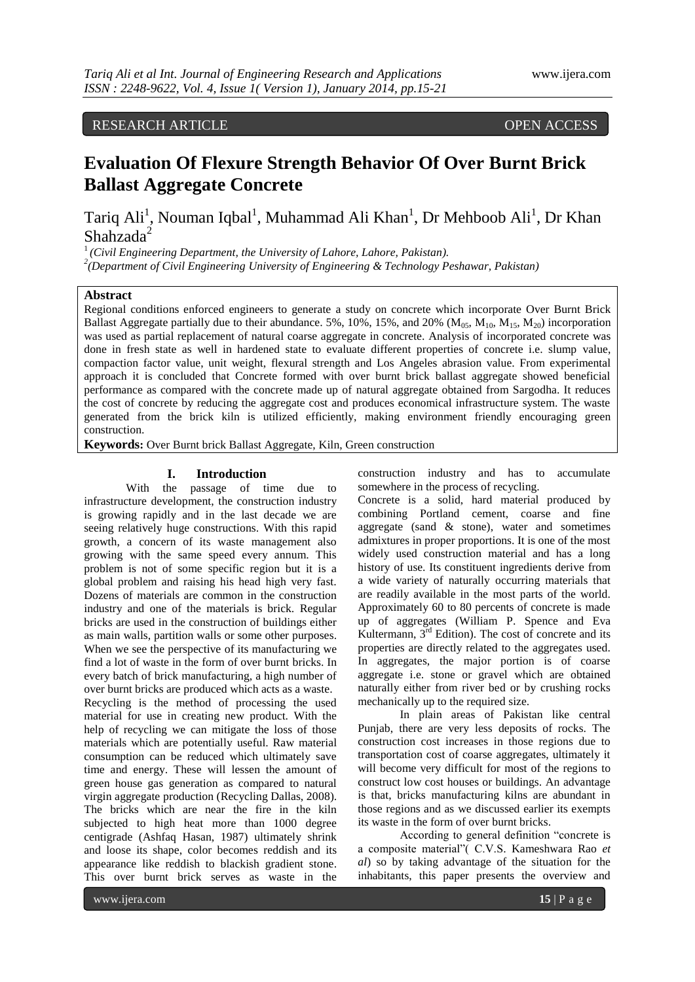# RESEARCH ARTICLE OPEN ACCESS

# **Evaluation Of Flexure Strength Behavior Of Over Burnt Brick Ballast Aggregate Concrete**

Tariq Ali<sup>1</sup>, Nouman Iqbal<sup>1</sup>, Muhammad Ali Khan<sup>1</sup>, Dr Mehboob Ali<sup>1</sup>, Dr Khan Shahzada<sup>2</sup>

<sup>1</sup>*(Civil Engineering Department, the University of Lahore, Lahore, Pakistan).*

*2 (Department of Civil Engineering University of Engineering & Technology Peshawar, Pakistan)*

# **Abstract**

Regional conditions enforced engineers to generate a study on concrete which incorporate Over Burnt Brick Ballast Aggregate partially due to their abundance. 5%, 10%, 15%, and 20% ( $M_{0.5}$ ,  $M_{10}$ ,  $M_{1.5}$ ,  $M_{20}$ ) incorporation was used as partial replacement of natural coarse aggregate in concrete. Analysis of incorporated concrete was done in fresh state as well in hardened state to evaluate different properties of concrete i.e. slump value, compaction factor value, unit weight, flexural strength and Los Angeles abrasion value. From experimental approach it is concluded that Concrete formed with over burnt brick ballast aggregate showed beneficial performance as compared with the concrete made up of natural aggregate obtained from Sargodha. It reduces the cost of concrete by reducing the aggregate cost and produces economical infrastructure system. The waste generated from the brick kiln is utilized efficiently, making environment friendly encouraging green construction.

**Keywords:** Over Burnt brick Ballast Aggregate, Kiln, Green construction

#### **I. Introduction**

With the passage of time due to infrastructure development, the construction industry is growing rapidly and in the last decade we are seeing relatively huge constructions. With this rapid growth, a concern of its waste management also growing with the same speed every annum. This problem is not of some specific region but it is a global problem and raising his head high very fast. Dozens of materials are common in the construction industry and one of the materials is brick. Regular bricks are used in the construction of buildings either as main walls, partition walls or some other purposes. When we see the perspective of its manufacturing we find a lot of waste in the form of over burnt bricks. In every batch of brick manufacturing, a high number of over burnt bricks are produced which acts as a waste. Recycling is the method of processing the used material for use in creating new product. With the help of recycling we can mitigate the loss of those materials which are potentially useful. Raw material consumption can be reduced which ultimately save time and energy. These will lessen the amount of green house gas generation as compared to natural virgin aggregate production (Recycling Dallas, 2008). The bricks which are near the fire in the kiln subjected to high heat more than 1000 degree centigrade (Ashfaq Hasan, 1987) ultimately shrink and loose its shape, color becomes reddish and its appearance like reddish to blackish gradient stone. This over burnt brick serves as waste in the

construction industry and has to accumulate somewhere in the process of recycling.

Concrete is a solid, hard material produced by combining Portland cement, coarse and fine aggregate (sand  $\&$  stone), water and sometimes admixtures in proper proportions. It is one of the most widely used construction material and has a long history of use. Its constituent ingredients derive from a wide variety of naturally occurring materials that are readily available in the most parts of the world. Approximately 60 to 80 percents of concrete is made up of aggregates (William P. Spence and Eva Kultermann,  $3<sup>rd</sup>$  Edition). The cost of concrete and its properties are directly related to the aggregates used. In aggregates, the major portion is of coarse aggregate i.e. stone or gravel which are obtained naturally either from river bed or by crushing rocks mechanically up to the required size.

In plain areas of Pakistan like central Punjab, there are very less deposits of rocks. The construction cost increases in those regions due to transportation cost of coarse aggregates, ultimately it will become very difficult for most of the regions to construct low cost houses or buildings. An advantage is that, bricks manufacturing kilns are abundant in those regions and as we discussed earlier its exempts its waste in the form of over burnt bricks.

According to general definition "concrete is a composite material"( C.V.S. Kameshwara Rao *et al*) so by taking advantage of the situation for the inhabitants, this paper presents the overview and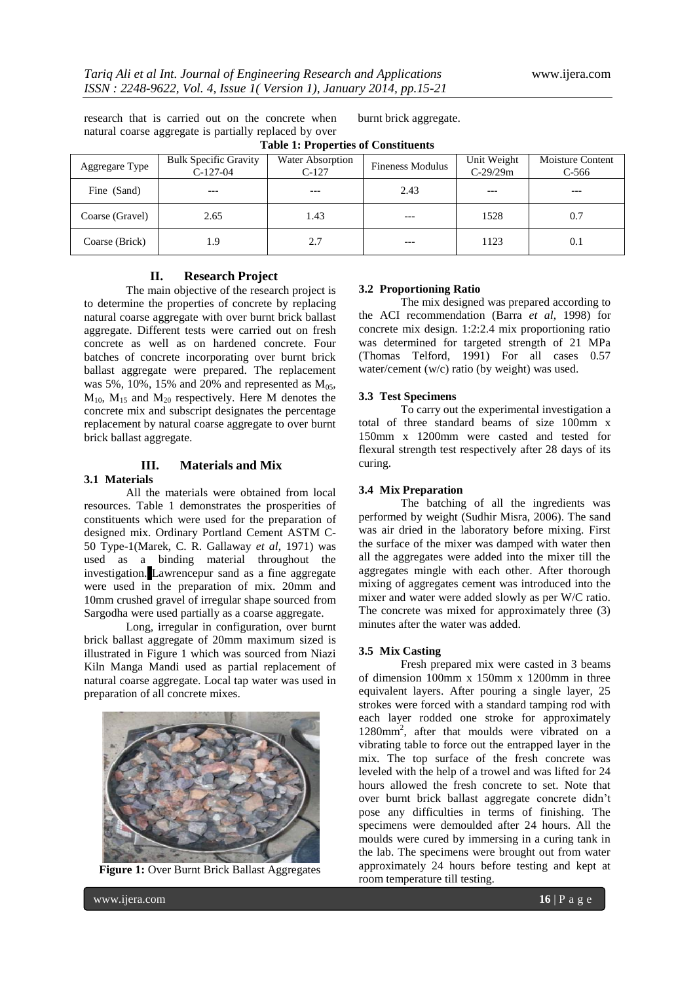research that is carried out on the concrete when natural coarse aggregate is partially replaced by over **Table 1: Properties of Constituents**

burnt brick aggregate.

| Aggregare Type  | <b>Bulk Specific Gravity</b><br>$C-127-04$ | <b>Water Absorption</b><br>$C-127$ | <b>Fineness Modulus</b> | Unit Weight<br>$C-29/29m$ | <b>Moisture Content</b><br>$C-566$ |  |  |  |
|-----------------|--------------------------------------------|------------------------------------|-------------------------|---------------------------|------------------------------------|--|--|--|
| Fine (Sand)     | $---$                                      | $---$                              | 2.43                    | $---$                     | $---$                              |  |  |  |
| Coarse (Gravel) | 2.65                                       | 1.43                               |                         | 1528                      | 0.7                                |  |  |  |
| Coarse (Brick)  | 1.9                                        | 2.7                                | $---$                   | 1123                      | 0.1                                |  |  |  |

# **II. Research Project**

The main objective of the research project is to determine the properties of concrete by replacing natural coarse aggregate with over burnt brick ballast aggregate. Different tests were carried out on fresh concrete as well as on hardened concrete. Four batches of concrete incorporating over burnt brick ballast aggregate were prepared. The replacement was 5%, 10%, 15% and 20% and represented as  $M_{0.5}$ ,  $M_{10}$ ,  $M_{15}$  and  $M_{20}$  respectively. Here M denotes the concrete mix and subscript designates the percentage replacement by natural coarse aggregate to over burnt brick ballast aggregate.

# **III. Materials and Mix**

## **3.1 Materials**

All the materials were obtained from local resources. Table 1 demonstrates the prosperities of constituents which were used for the preparation of designed mix. Ordinary Portland Cement ASTM C-50 Type-1(Marek, C. R. Gallaway *et al*, 1971) was used as a binding material throughout the investigation. Lawrencepur sand as a fine aggregate were used in the preparation of mix. 20mm and 10mm crushed gravel of irregular shape sourced from Sargodha were used partially as a coarse aggregate.

Long, irregular in configuration, over burnt brick ballast aggregate of 20mm maximum sized is illustrated in Figure 1 which was sourced from Niazi Kiln Manga Mandi used as partial replacement of natural coarse aggregate. Local tap water was used in preparation of all concrete mixes.



**Figure 1:** Over Burnt Brick Ballast Aggregates

## **3.2 Proportioning Ratio**

The mix designed was prepared according to the ACI recommendation (Barra *et al*, 1998) for concrete mix design. 1:2:2.4 mix proportioning ratio was determined for targeted strength of 21 MPa (Thomas Telford, 1991) For all cases 0.57 water/cement (w/c) ratio (by weight) was used.

#### **3.3 Test Specimens**

To carry out the experimental investigation a total of three standard beams of size 100mm x 150mm x 1200mm were casted and tested for flexural strength test respectively after 28 days of its curing.

## **3.4 Mix Preparation**

The batching of all the ingredients was performed by weight (Sudhir Misra, 2006). The sand was air dried in the laboratory before mixing. First the surface of the mixer was damped with water then all the aggregates were added into the mixer till the aggregates mingle with each other. After thorough mixing of aggregates cement was introduced into the mixer and water were added slowly as per W/C ratio. The concrete was mixed for approximately three (3) minutes after the water was added.

## **3.5 Mix Casting**

Fresh prepared mix were casted in 3 beams of dimension 100mm x 150mm x 1200mm in three equivalent layers. After pouring a single layer, 25 strokes were forced with a standard tamping rod with each layer rodded one stroke for approximately 1280mm<sup>2</sup> , after that moulds were vibrated on a vibrating table to force out the entrapped layer in the mix. The top surface of the fresh concrete was leveled with the help of a trowel and was lifted for 24 hours allowed the fresh concrete to set. Note that over burnt brick ballast aggregate concrete didn't pose any difficulties in terms of finishing. The specimens were demoulded after 24 hours. All the moulds were cured by immersing in a curing tank in the lab. The specimens were brought out from water approximately 24 hours before testing and kept at room temperature till testing.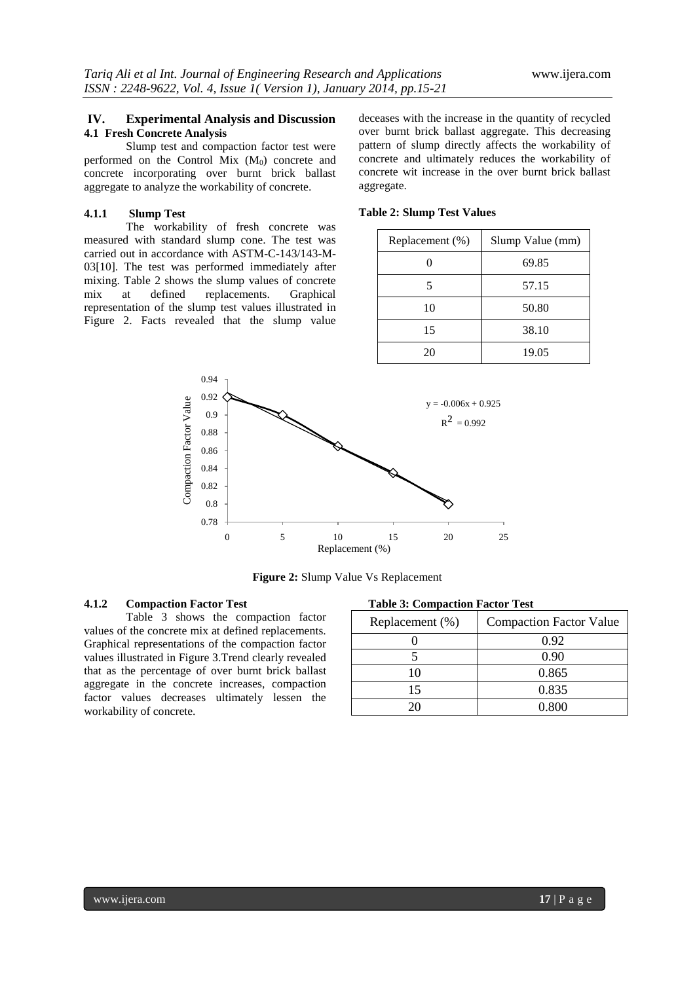# **IV. Experimental Analysis and Discussion 4.1 Fresh Concrete Analysis**

Slump test and compaction factor test were performed on the Control Mix  $(M_0)$  concrete and concrete incorporating over burnt brick ballast aggregate to analyze the workability of concrete.

# **4.1.1 Slump Test**

The workability of fresh concrete was measured with standard slump cone. The test was carried out in accordance with ASTM-C-143/143-M-03[10]. The test was performed immediately after mixing. Table 2 shows the slump values of concrete mix at defined replacements. Graphical representation of the slump test values illustrated in Figure 2. Facts revealed that the slump value

deceases with the increase in the quantity of recycled over burnt brick ballast aggregate. This decreasing pattern of slump directly affects the workability of concrete and ultimately reduces the workability of concrete wit increase in the over burnt brick ballast aggregate.

| Replacement (%) | Slump Value (mm) |  |
|-----------------|------------------|--|
|                 | 69.85            |  |
| 5               | 57.15            |  |
| 10              | 50.80            |  |
| 15              | 38.10            |  |
| 20              | 19.05            |  |





**Figure 2:** Slump Value Vs Replacement

# **4.1.2 Compaction Factor Test**

Table 3 shows the compaction factor values of the concrete mix at defined replacements. Graphical representations of the compaction factor values illustrated in Figure 3.Trend clearly revealed that as the percentage of over burnt brick ballast aggregate in the concrete increases, compaction factor values decreases ultimately lessen the workability of concrete.

| <b>Table 3: Compaction Factor Test</b> |  |  |  |  |
|----------------------------------------|--|--|--|--|
|----------------------------------------|--|--|--|--|

| Replacement (%) | <b>Compaction Factor Value</b> |  |
|-----------------|--------------------------------|--|
|                 | 0.92                           |  |
|                 | 0.90                           |  |
| 10              | 0.865                          |  |
| 15              | 0.835                          |  |
| 26              | 0.800                          |  |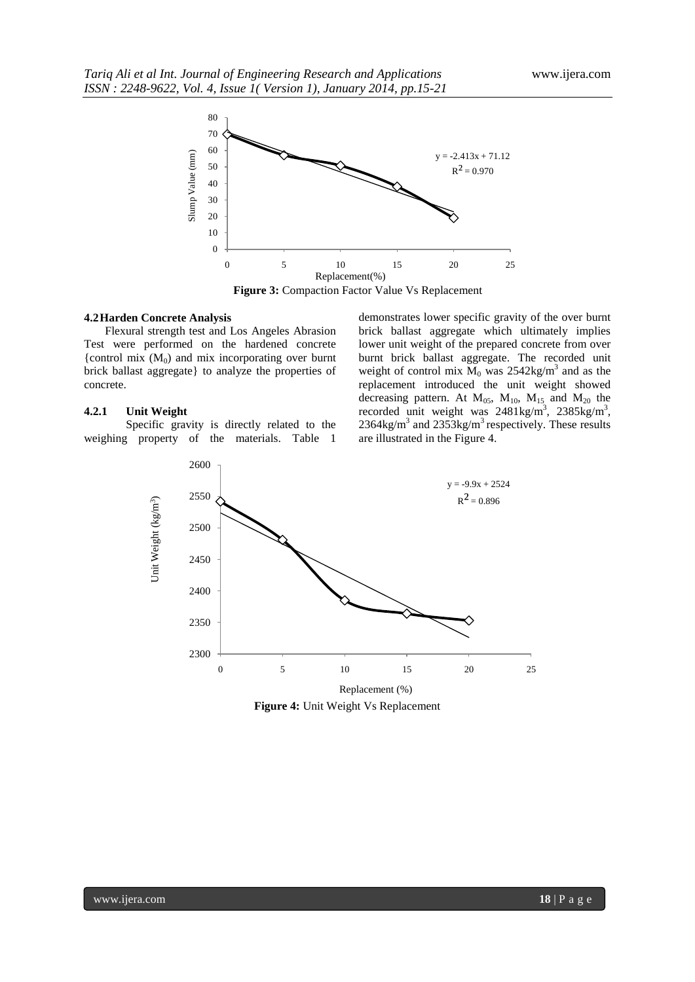

**Figure 3:** Compaction Factor Value Vs Replacement

## **4.2Harden Concrete Analysis**

Flexural strength test and Los Angeles Abrasion Test were performed on the hardened concrete {control mix  $(M_0)$  and mix incorporating over burnt brick ballast aggregate} to analyze the properties of concrete.

## **4.2.1 Unit Weight**

Specific gravity is directly related to the weighing property of the materials. Table 1

demonstrates lower specific gravity of the over burnt brick ballast aggregate which ultimately implies lower unit weight of the prepared concrete from over burnt brick ballast aggregate. The recorded unit weight of control mix  $M_0$  was 2542kg/m<sup>3</sup> and as the replacement introduced the unit weight showed decreasing pattern. At  $M_{05}$ ,  $M_{10}$ ,  $M_{15}$  and  $M_{20}$  the recorded unit weight was  $2481 \text{kg/m}^3$ ,  $2385 \text{kg/m}^3$ ,  $2364\text{kg/m}^3$  and  $2353\text{kg/m}^3$  respectively. These results are illustrated in the Figure 4.



**Figure 4:** Unit Weight Vs Replacement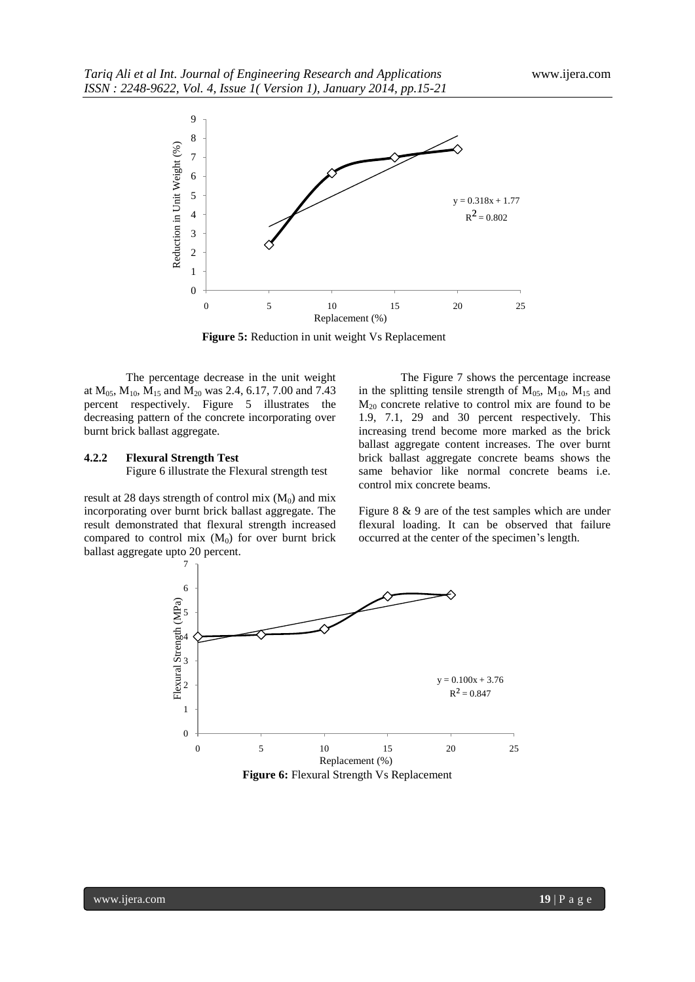

**Figure 5:** Reduction in unit weight Vs Replacement

The percentage decrease in the unit weight at  $M_{0.5}$ ,  $M_{10}$ ,  $M_{15}$  and  $M_{20}$  was 2.4, 6.17, 7.00 and 7.43 percent respectively. Figure 5 illustrates the decreasing pattern of the concrete incorporating over burnt brick ballast aggregate.

### **4.2.2 Flexural Strength Test**

Figure 6 illustrate the Flexural strength test

result at 28 days strength of control mix  $(M_0)$  and mix incorporating over burnt brick ballast aggregate. The result demonstrated that flexural strength increased compared to control mix  $(M_0)$  for over burnt brick ballast aggregate upto 20 percent.

The Figure 7 shows the percentage increase in the splitting tensile strength of  $M_{05}$ ,  $M_{10}$ ,  $M_{15}$  and  $M_{20}$  concrete relative to control mix are found to be 1.9, 7.1, 29 and 30 percent respectively. This increasing trend become more marked as the brick ballast aggregate content increases. The over burnt brick ballast aggregate concrete beams shows the same behavior like normal concrete beams i.e. control mix concrete beams.

Figure 8 & 9 are of the test samples which are under flexural loading. It can be observed that failure occurred at the center of the specimen's length.

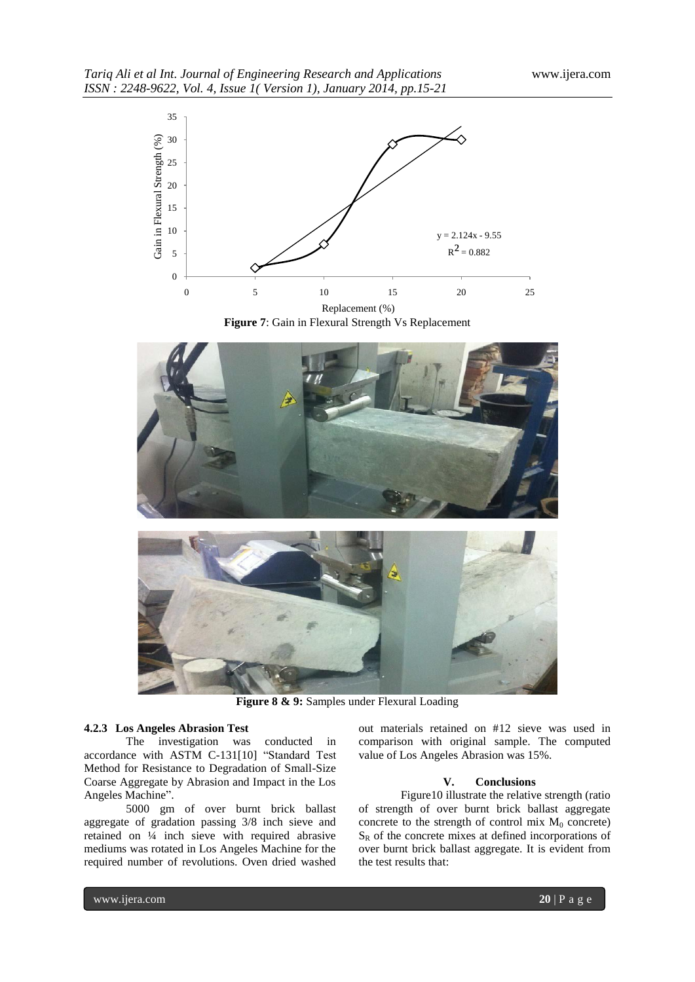

**Figure 7**: Gain in Flexural Strength Vs Replacement



**Figure 8 & 9:** Samples under Flexural Loading

## **4.2.3 Los Angeles Abrasion Test**

The investigation was conducted in accordance with ASTM C-131[10] "Standard Test Method for Resistance to Degradation of Small-Size Coarse Aggregate by Abrasion and Impact in the Los Angeles Machine".

5000 gm of over burnt brick ballast aggregate of gradation passing 3/8 inch sieve and retained on ¼ inch sieve with required abrasive mediums was rotated in Los Angeles Machine for the required number of revolutions. Oven dried washed

out materials retained on #12 sieve was used in comparison with original sample. The computed value of Los Angeles Abrasion was 15%.

### **V. Conclusions**

Figure10 illustrate the relative strength (ratio of strength of over burnt brick ballast aggregate concrete to the strength of control mix  $M_0$  concrete)  $S_R$  of the concrete mixes at defined incorporations of over burnt brick ballast aggregate. It is evident from the test results that: